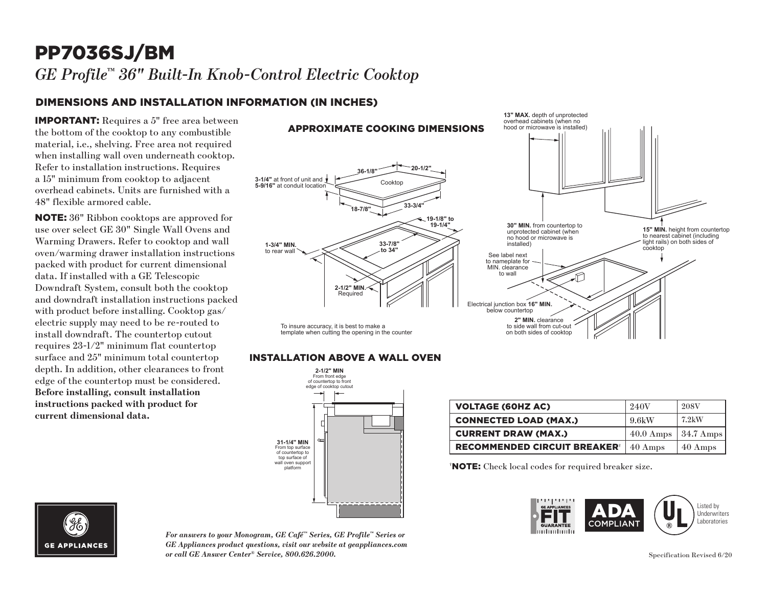## PP7036SJ/BM *GE Profile™ 36" Built-In Knob-Control Electric Cooktop*

### DIMENSIONS AND INSTALLATION INFORMATION (IN INCHES)

IMPORTANT: Requires a 5" free area between the bottom of the cooktop to any combustible material, i.e., shelving. Free area not required when installing wall oven underneath cooktop. Refer to installation instructions. Requires a 15" minimum from cooktop to adjacent overhead cabinets. Units are furnished with a 48" flexible armored cable.

NOTE: 36" Ribbon cooktops are approved for use over select GE 30" Single Wall Ovens and Warming Drawers. Refer to cooktop and wall oven/warming drawer installation instructions packed with product for current dimensional data. If installed with a GE Telescopic Downdraft System, consult both the cooktop and downdraft installation instructions packed with product before installing. Cooktop gas/ electric supply may need to be re-routed to install downdraft. The countertop cutout requires 23-1/2" minimum flat countertop surface and 25" minimum total countertop depth. In addition, other clearances to front edge of the countertop must be considered. **Before installing, consult installation instructions packed with product for current dimensional data.**



### **INSTALLATION ABOVE A WALL OVEN**



| <b>VOLTAGE (60HZ AC)</b>            | 240V                | <b>208V</b>                   |
|-------------------------------------|---------------------|-------------------------------|
| <b>CONNECTED LOAD (MAX.)</b>        | -9.6kW              | $7.2$ kW                      |
| <b>CURRENT DRAW (MAX.)</b>          | $40.0 \text{ Amps}$ | $\frac{34.7 \text{ Amps}}{2}$ |
| <b>RECOMMENDED CIRCUIT BREAKER®</b> | 40 Amps             | 40 Amps                       |

† NOTE: Check local codes for required breaker size.





*For answers to your Monogram, GE Café™ Series, GE Profile™ Series or GE Appliances product questions, visit our website at geappliances.com or call GE Answer Center® Service, 800.626.2000.*